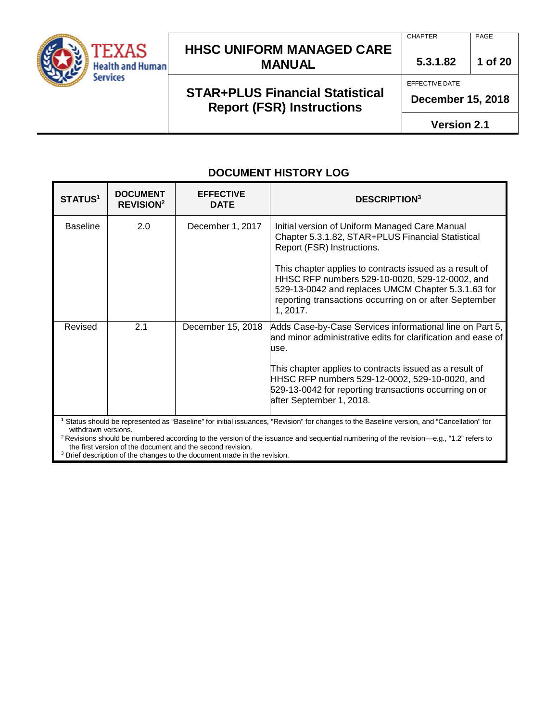

## **STAR+PLUS Financial Statistical Report (FSR) Instructions**

**CHAPTER** PAGE

**5.3.1.82 1 of 20**

EFFECTIVE DATE

**December 15, 2018**

**Version 2.1**

#### **DOCUMENT HISTORY LOG**

| <b>STATUS1</b>      | <b>DOCUMENT</b><br><b>REVISION<sup>2</sup></b> | <b>EFFECTIVE</b><br><b>DATE</b> | <b>DESCRIPTION</b> <sup>3</sup>                                                                                                                                                                                                                                                                                                                                            |
|---------------------|------------------------------------------------|---------------------------------|----------------------------------------------------------------------------------------------------------------------------------------------------------------------------------------------------------------------------------------------------------------------------------------------------------------------------------------------------------------------------|
| <b>Baseline</b>     | 2.0                                            | December 1, 2017                | Initial version of Uniform Managed Care Manual<br>Chapter 5.3.1.82, STAR+PLUS Financial Statistical<br>Report (FSR) Instructions.<br>This chapter applies to contracts issued as a result of<br>HHSC RFP numbers 529-10-0020, 529-12-0002, and<br>529-13-0042 and replaces UMCM Chapter 5.3.1.63 for<br>reporting transactions occurring on or after September<br>1, 2017. |
| Revised             | 2.1                                            | December 15, 2018               | Adds Case-by-Case Services informational line on Part 5,<br>and minor administrative edits for clarification and ease of<br>use.<br>This chapter applies to contracts issued as a result of<br>HHSC RFP numbers 529-12-0002, 529-10-0020, and<br>529-13-0042 for reporting transactions occurring on or<br>after September 1, 2018.                                        |
| withdrawn versions. |                                                |                                 | Status should be represented as "Baseline" for initial issuances, "Revision" for changes to the Baseline version, and "Cancellation" for                                                                                                                                                                                                                                   |

 $2$  Revisions should be numbered according to the version of the issuance and sequential numbering of the revision—e.g., "1.2" refers to the first version of the document and the second revision.

<sup>3</sup> Brief description of the changes to the document made in the revision.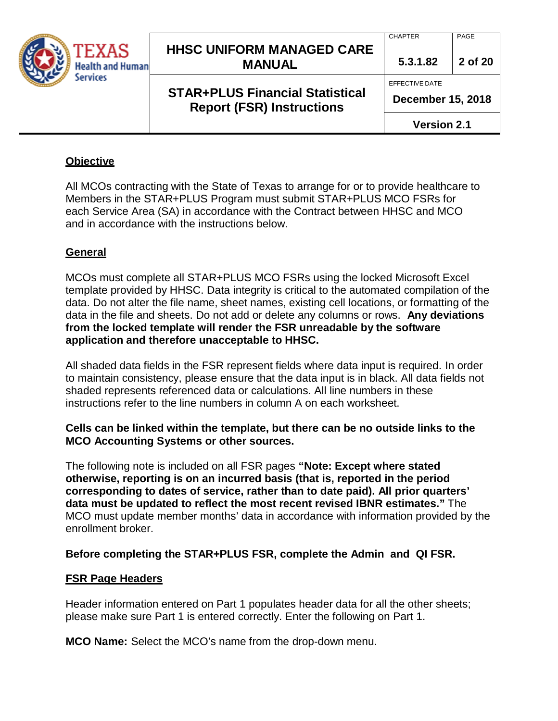| TEXAS<br><b>Health and Human</b> | <b>HHSC UNIFORM MANAGED CARE</b><br><b>MANUAL</b>                          | <b>CHAPTER</b><br>5.3.1.82                 | PAGE<br>2 of 20 |
|----------------------------------|----------------------------------------------------------------------------|--------------------------------------------|-----------------|
| Services                         | <b>STAR+PLUS Financial Statistical</b><br><b>Report (FSR) Instructions</b> | EFFECTIVE DATE<br><b>December 15, 2018</b> |                 |
|                                  |                                                                            | <b>Version 2.1</b>                         |                 |

#### **Objective**

All MCOs contracting with the State of Texas to arrange for or to provide healthcare to Members in the STAR+PLUS Program must submit STAR+PLUS MCO FSRs for each Service Area (SA) in accordance with the Contract between HHSC and MCO and in accordance with the instructions below.

#### **General**

MCOs must complete all STAR+PLUS MCO FSRs using the locked Microsoft Excel template provided by HHSC. Data integrity is critical to the automated compilation of the data. Do not alter the file name, sheet names, existing cell locations, or formatting of the data in the file and sheets. Do not add or delete any columns or rows. **Any deviations from the locked template will render the FSR unreadable by the software application and therefore unacceptable to HHSC.**

All shaded data fields in the FSR represent fields where data input is required. In order to maintain consistency, please ensure that the data input is in black. All data fields not shaded represents referenced data or calculations. All line numbers in these instructions refer to the line numbers in column A on each worksheet.

#### **Cells can be linked within the template, but there can be no outside links to the MCO Accounting Systems or other sources.**

The following note is included on all FSR pages **"Note: Except where stated otherwise, reporting is on an incurred basis (that is, reported in the period corresponding to dates of service, rather than to date paid). All prior quarters' data must be updated to reflect the most recent revised IBNR estimates."** The MCO must update member months' data in accordance with information provided by the enrollment broker.

#### **Before completing the STAR+PLUS FSR, complete the Admin and QI FSR.**

#### **FSR Page Headers**

Header information entered on Part 1 populates header data for all the other sheets; please make sure Part 1 is entered correctly. Enter the following on Part 1.

**MCO Name:** Select the MCO's name from the drop-down menu.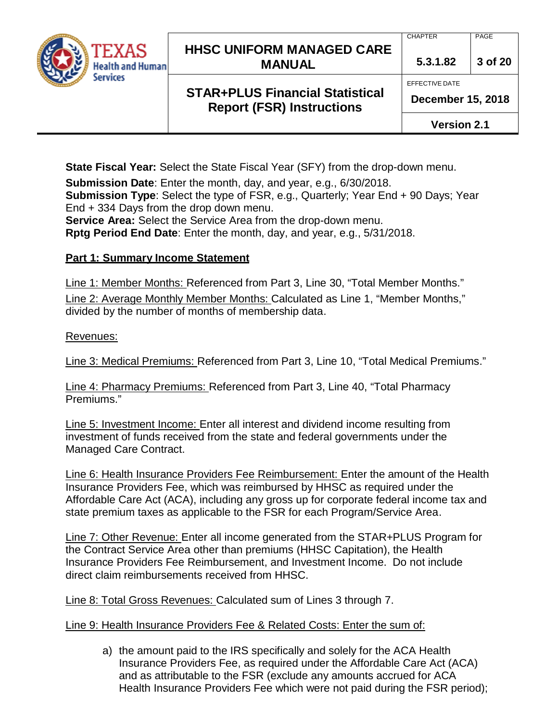

## **STAR+PLUS Financial Statistical Report (FSR) Instructions**

PAGE

**5.3.1.82 3 of 20**

EFFECTIVE DATE

**CHAPTER** 

**December 15, 2018**

**Version 2.1**

**State Fiscal Year:** Select the State Fiscal Year (SFY) from the drop-down menu.

**Submission Date**: Enter the month, day, and year, e.g., 6/30/2018.

**Submission Type**: Select the type of FSR, e.g., Quarterly; Year End + 90 Days; Year End + 334 Days from the drop down menu.

**Service Area:** Select the Service Area from the drop-down menu.

**Rptg Period End Date**: Enter the month, day, and year, e.g., 5/31/2018.

## **Part 1: Summary Income Statement**

Line 1: Member Months: Referenced from Part 3, Line 30, "Total Member Months." Line 2: Average Monthly Member Months: Calculated as Line 1, "Member Months," divided by the number of months of membership data.

#### Revenues:

Line 3: Medical Premiums: Referenced from Part 3, Line 10, "Total Medical Premiums."

Line 4: Pharmacy Premiums: Referenced from Part 3, Line 40, "Total Pharmacy Premiums."

Line 5: Investment Income: Enter all interest and dividend income resulting from investment of funds received from the state and federal governments under the Managed Care Contract.

Line 6: Health Insurance Providers Fee Reimbursement: Enter the amount of the Health Insurance Providers Fee, which was reimbursed by HHSC as required under the Affordable Care Act (ACA), including any gross up for corporate federal income tax and state premium taxes as applicable to the FSR for each Program/Service Area.

Line 7: Other Revenue: Enter all income generated from the STAR+PLUS Program for the Contract Service Area other than premiums (HHSC Capitation), the Health Insurance Providers Fee Reimbursement, and Investment Income. Do not include direct claim reimbursements received from HHSC.

Line 8: Total Gross Revenues: Calculated sum of Lines 3 through 7.

#### Line 9: Health Insurance Providers Fee & Related Costs: Enter the sum of:

a) the amount paid to the IRS specifically and solely for the ACA Health Insurance Providers Fee, as required under the Affordable Care Act (ACA) and as attributable to the FSR (exclude any amounts accrued for ACA Health Insurance Providers Fee which were not paid during the FSR period);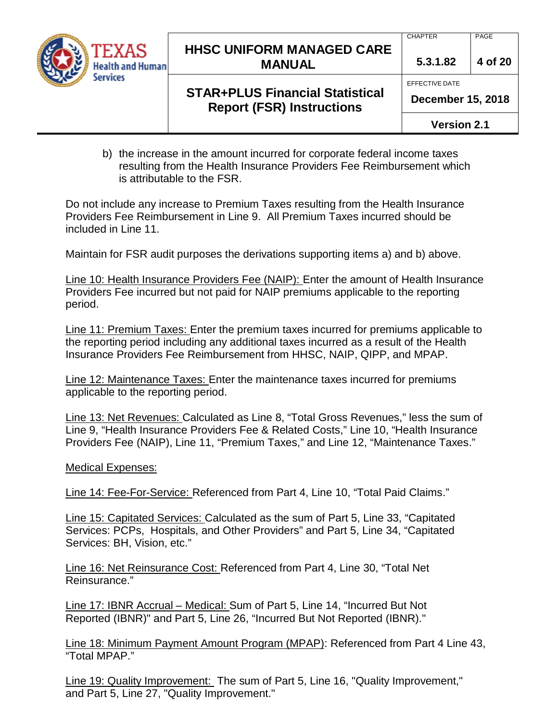

#### **CHAPTER**

EFFECTIVE DATE

PAGE

**5.3.1.82 4 of 20**

## **STAR+PLUS Financial Statistical Report (FSR) Instructions**

**December 15, 2018**

**Version 2.1**

b) the increase in the amount incurred for corporate federal income taxes resulting from the Health Insurance Providers Fee Reimbursement which is attributable to the FSR.

Do not include any increase to Premium Taxes resulting from the Health Insurance Providers Fee Reimbursement in Line 9. All Premium Taxes incurred should be included in Line 11.

Maintain for FSR audit purposes the derivations supporting items a) and b) above.

Line 10: Health Insurance Providers Fee (NAIP): Enter the amount of Health Insurance Providers Fee incurred but not paid for NAIP premiums applicable to the reporting period.

Line 11: Premium Taxes: Enter the premium taxes incurred for premiums applicable to the reporting period including any additional taxes incurred as a result of the Health Insurance Providers Fee Reimbursement from HHSC, NAIP, QIPP, and MPAP.

Line 12: Maintenance Taxes: Enter the maintenance taxes incurred for premiums applicable to the reporting period.

Line 13: Net Revenues: Calculated as Line 8, "Total Gross Revenues," less the sum of Line 9, "Health Insurance Providers Fee & Related Costs," Line 10, "Health Insurance Providers Fee (NAIP), Line 11, "Premium Taxes," and Line 12, "Maintenance Taxes."

Medical Expenses:

Line 14: Fee-For-Service: Referenced from Part 4, Line 10, "Total Paid Claims."

Line 15: Capitated Services: Calculated as the sum of Part 5, Line 33, "Capitated Services: PCPs, Hospitals, and Other Providers" and Part 5, Line 34, "Capitated Services: BH, Vision, etc."

Line 16: Net Reinsurance Cost: Referenced from Part 4, Line 30, "Total Net Reinsurance."

Line 17: IBNR Accrual – Medical: Sum of Part 5, Line 14, "Incurred But Not Reported (IBNR)" and Part 5, Line 26, "Incurred But Not Reported (IBNR)."

Line 18: Minimum Payment Amount Program (MPAP): Referenced from Part 4 Line 43, "Total MPAP."

Line 19: Quality Improvement: The sum of Part 5, Line 16, "Quality Improvement," and Part 5, Line 27, "Quality Improvement."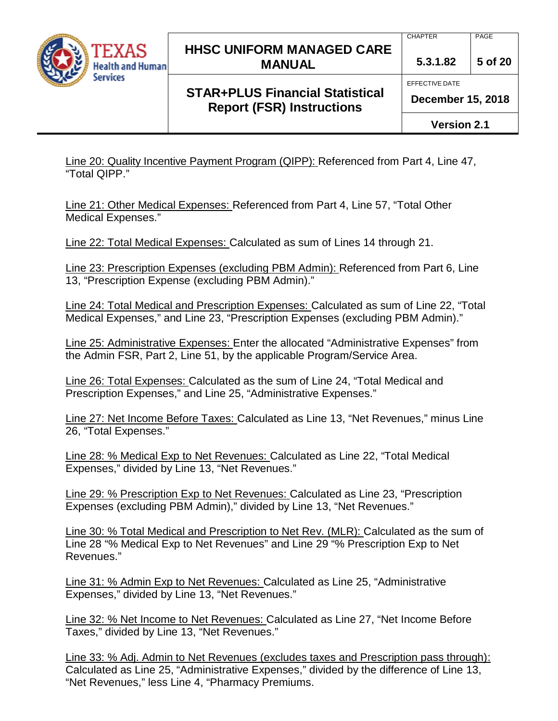

## **STAR+PLUS Financial Statistical Report (FSR) Instructions**

**5.3.1.82 5 of 20**

EFFECTIVE DATE

**CHAPTER** 

**December 15, 2018**

**Version 2.1**

Line 20: Quality Incentive Payment Program (QIPP): Referenced from Part 4, Line 47, "Total QIPP."

Line 21: Other Medical Expenses: Referenced from Part 4, Line 57, "Total Other Medical Expenses."

Line 22: Total Medical Expenses: Calculated as sum of Lines 14 through 21.

Line 23: Prescription Expenses (excluding PBM Admin): Referenced from Part 6, Line 13, "Prescription Expense (excluding PBM Admin)."

Line 24: Total Medical and Prescription Expenses: Calculated as sum of Line 22, "Total Medical Expenses," and Line 23, "Prescription Expenses (excluding PBM Admin)."

Line 25: Administrative Expenses: Enter the allocated "Administrative Expenses" from the Admin FSR, Part 2, Line 51, by the applicable Program/Service Area.

Line 26: Total Expenses: Calculated as the sum of Line 24, "Total Medical and Prescription Expenses," and Line 25, "Administrative Expenses."

Line 27: Net Income Before Taxes: Calculated as Line 13, "Net Revenues," minus Line 26, "Total Expenses."

Line 28: % Medical Exp to Net Revenues: Calculated as Line 22, "Total Medical Expenses," divided by Line 13, "Net Revenues."

Line 29: % Prescription Exp to Net Revenues: Calculated as Line 23, "Prescription Expenses (excluding PBM Admin)," divided by Line 13, "Net Revenues."

Line 30: % Total Medical and Prescription to Net Rev. (MLR): Calculated as the sum of Line 28 "% Medical Exp to Net Revenues" and Line 29 "% Prescription Exp to Net Revenues."

Line 31: % Admin Exp to Net Revenues: Calculated as Line 25, "Administrative Expenses," divided by Line 13, "Net Revenues."

Line 32: % Net Income to Net Revenues: Calculated as Line 27, "Net Income Before Taxes," divided by Line 13, "Net Revenues."

Line 33: % Adj. Admin to Net Revenues (excludes taxes and Prescription pass through): Calculated as Line 25, "Administrative Expenses," divided by the difference of Line 13, "Net Revenues," less Line 4, "Pharmacy Premiums.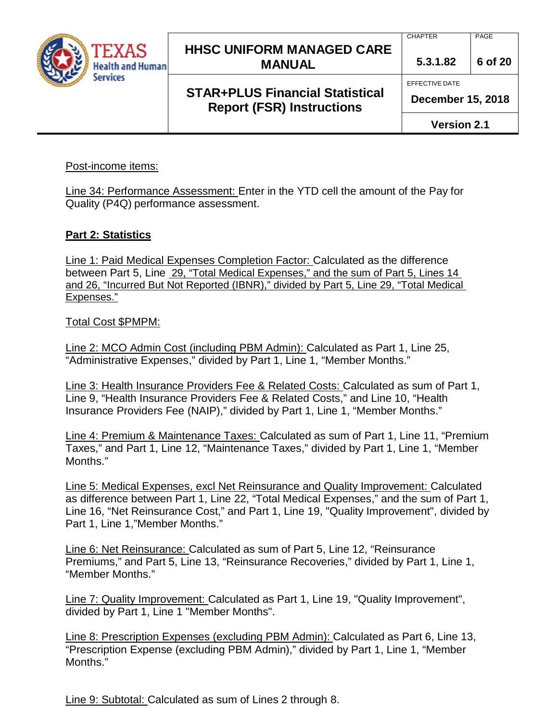

## **STAR+PLUS Financial Statistical Report (FSR) Instructions**

PAGE

**5.3.1.82 6 of 20**

EFFECTIVE DATE

**CHAPTER** 

**December 15, 2018**

**Version 2.1**

#### Post-income items:

Line 34: Performance Assessment: Enter in the YTD cell the amount of the Pay for Quality (P4Q) performance assessment.

#### **Part 2: Statistics**

Line 1: Paid Medical Expenses Completion Factor: Calculated as the difference between Part 5, Line 29, "Total Medical Expenses," and the sum of Part 5, Lines 14 and 26, "Incurred But Not Reported (IBNR)," divided by Part 5, Line 29, "Total Medical Expenses."

Total Cost \$PMPM:

Line 2: MCO Admin Cost (including PBM Admin): Calculated as Part 1, Line 25, "Administrative Expenses," divided by Part 1, Line 1, "Member Months."

Line 3: Health Insurance Providers Fee & Related Costs: Calculated as sum of Part 1, Line 9, "Health Insurance Providers Fee & Related Costs," and Line 10, "Health Insurance Providers Fee (NAIP)," divided by Part 1, Line 1, "Member Months."

Line 4: Premium & Maintenance Taxes: Calculated as sum of Part 1, Line 11, "Premium Taxes," and Part 1, Line 12, "Maintenance Taxes," divided by Part 1, Line 1, "Member Months."

Line 5: Medical Expenses, excl Net Reinsurance and Quality Improvement: Calculated as difference between Part 1, Line 22, "Total Medical Expenses," and the sum of Part 1, Line 16, "Net Reinsurance Cost," and Part 1, Line 19, "Quality Improvement", divided by Part 1, Line 1,"Member Months."

Line 6: Net Reinsurance: Calculated as sum of Part 5, Line 12, "Reinsurance Premiums," and Part 5, Line 13, "Reinsurance Recoveries," divided by Part 1, Line 1, "Member Months."

Line 7: Quality Improvement: Calculated as Part 1, Line 19, "Quality Improvement", divided by Part 1, Line 1 "Member Months".

Line 8: Prescription Expenses (excluding PBM Admin): Calculated as Part 6, Line 13, "Prescription Expense (excluding PBM Admin)," divided by Part 1, Line 1, "Member Months."

Line 9: Subtotal: Calculated as sum of Lines 2 through 8.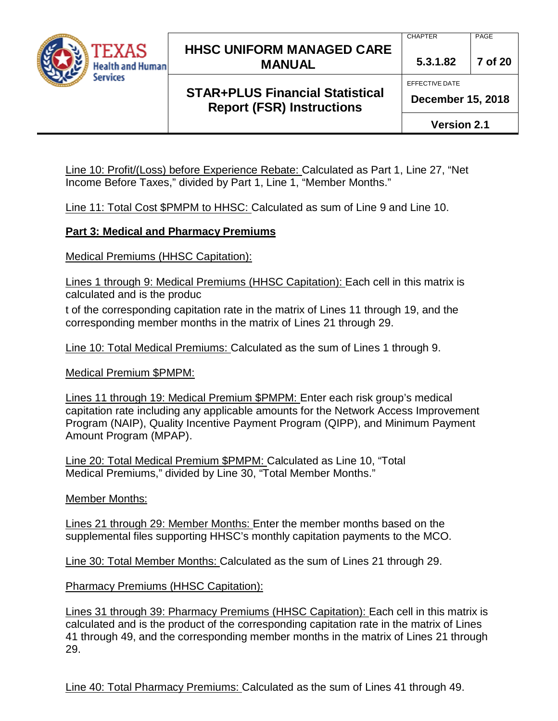

### **STAR+PLUS Financial Statistical Report (FSR) Instructions**

PAGE

**5.3.1.82 7 of 20**

EFFECTIVE DATE

**CHAPTER** 

**December 15, 2018**

**Version 2.1**

Line 10: Profit/(Loss) before Experience Rebate: Calculated as Part 1, Line 27, "Net Income Before Taxes," divided by Part 1, Line 1, "Member Months."

Line 11: Total Cost \$PMPM to HHSC: Calculated as sum of Line 9 and Line 10.

#### **Part 3: Medical and Pharmacy Premiums**

Medical Premiums (HHSC Capitation):

Lines 1 through 9: Medical Premiums (HHSC Capitation): Each cell in this matrix is calculated and is the produc

t of the corresponding capitation rate in the matrix of Lines 11 through 19, and the corresponding member months in the matrix of Lines 21 through 29.

Line 10: Total Medical Premiums: Calculated as the sum of Lines 1 through 9.

Medical Premium \$PMPM:

Lines 11 through 19: Medical Premium \$PMPM: Enter each risk group's medical capitation rate including any applicable amounts for the Network Access Improvement Program (NAIP), Quality Incentive Payment Program (QIPP), and Minimum Payment Amount Program (MPAP).

Line 20: Total Medical Premium \$PMPM: Calculated as Line 10, "Total Medical Premiums," divided by Line 30, "Total Member Months."

Member Months:

Lines 21 through 29: Member Months: Enter the member months based on the supplemental files supporting HHSC's monthly capitation payments to the MCO.

Line 30: Total Member Months: Calculated as the sum of Lines 21 through 29.

Pharmacy Premiums (HHSC Capitation):

Lines 31 through 39: Pharmacy Premiums (HHSC Capitation): Each cell in this matrix is calculated and is the product of the corresponding capitation rate in the matrix of Lines 41 through 49, and the corresponding member months in the matrix of Lines 21 through 29.

Line 40: Total Pharmacy Premiums: Calculated as the sum of Lines 41 through 49.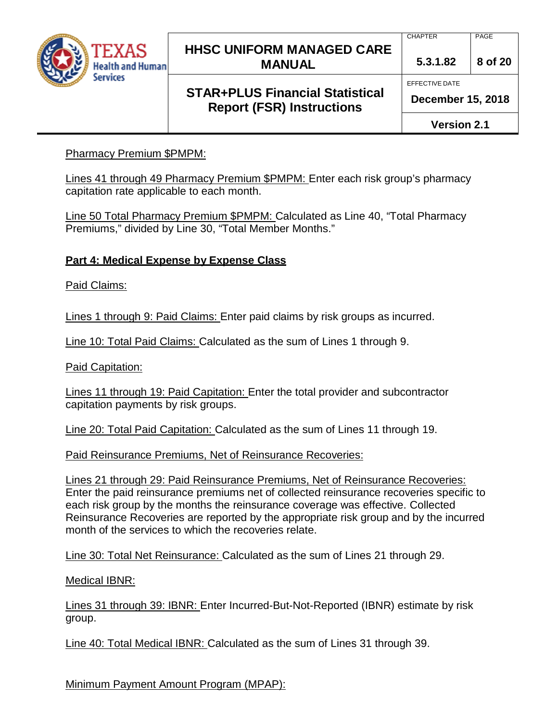

### **STAR+PLUS Financial Statistical Report (FSR) Instructions**

PAGE

**5.3.1.82 8 of 20**

EFFECTIVE DATE

**CHAPTER** 

**December 15, 2018**

**Version 2.1**

#### **Pharmacy Premium \$PMPM:**

Lines 41 through 49 Pharmacy Premium \$PMPM: Enter each risk group's pharmacy capitation rate applicable to each month.

Line 50 Total Pharmacy Premium \$PMPM: Calculated as Line 40, "Total Pharmacy Premiums," divided by Line 30, "Total Member Months."

#### **Part 4: Medical Expense by Expense Class**

Paid Claims:

Lines 1 through 9: Paid Claims: Enter paid claims by risk groups as incurred.

Line 10: Total Paid Claims: Calculated as the sum of Lines 1 through 9.

Paid Capitation:

Lines 11 through 19: Paid Capitation: Enter the total provider and subcontractor capitation payments by risk groups.

Line 20: Total Paid Capitation: Calculated as the sum of Lines 11 through 19.

Paid Reinsurance Premiums, Net of Reinsurance Recoveries:

Lines 21 through 29: Paid Reinsurance Premiums, Net of Reinsurance Recoveries: Enter the paid reinsurance premiums net of collected reinsurance recoveries specific to each risk group by the months the reinsurance coverage was effective. Collected Reinsurance Recoveries are reported by the appropriate risk group and by the incurred month of the services to which the recoveries relate.

Line 30: Total Net Reinsurance: Calculated as the sum of Lines 21 through 29.

Medical IBNR:

Lines 31 through 39: IBNR: Enter Incurred-But-Not-Reported (IBNR) estimate by risk group.

Line 40: Total Medical IBNR: Calculated as the sum of Lines 31 through 39.

Minimum Payment Amount Program (MPAP):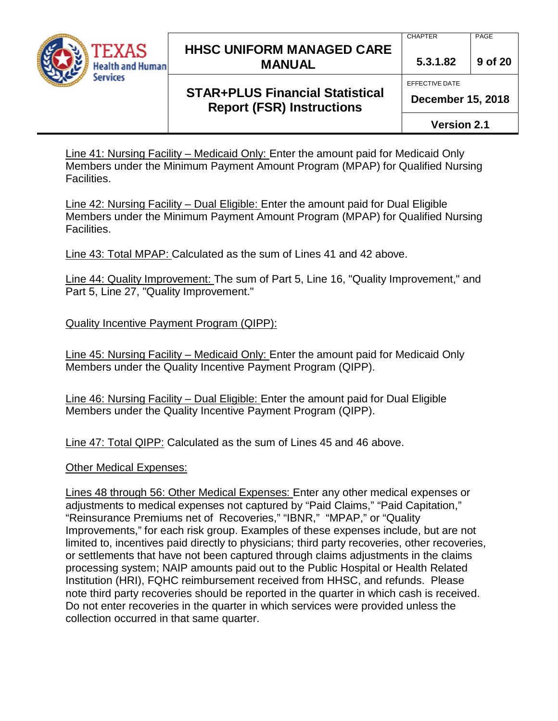

**CHAPTER** 

EFFECTIVE DATE

PAGE

**5.3.1.82 9 of 20**

## **STAR+PLUS Financial Statistical Report (FSR) Instructions**

**December 15, 2018**

**Version 2.1**

Line 41: Nursing Facility – Medicaid Only: Enter the amount paid for Medicaid Only Members under the Minimum Payment Amount Program (MPAP) for Qualified Nursing Facilities.

Line 42: Nursing Facility – Dual Eligible: Enter the amount paid for Dual Eligible Members under the Minimum Payment Amount Program (MPAP) for Qualified Nursing Facilities.

Line 43: Total MPAP: Calculated as the sum of Lines 41 and 42 above.

Line 44: Quality Improvement: The sum of Part 5, Line 16, "Quality Improvement," and Part 5, Line 27, "Quality Improvement."

Quality Incentive Payment Program (QIPP):

Line 45: Nursing Facility – Medicaid Only: Enter the amount paid for Medicaid Only Members under the Quality Incentive Payment Program (QIPP).

Line 46: Nursing Facility – Dual Eligible: Enter the amount paid for Dual Eligible Members under the Quality Incentive Payment Program (QIPP).

Line 47: Total QIPP: Calculated as the sum of Lines 45 and 46 above.

Other Medical Expenses:

Lines 48 through 56: Other Medical Expenses: Enter any other medical expenses or adjustments to medical expenses not captured by "Paid Claims," "Paid Capitation," "Reinsurance Premiums net of Recoveries," "IBNR," "MPAP," or "Quality Improvements," for each risk group. Examples of these expenses include, but are not limited to, incentives paid directly to physicians; third party recoveries, other recoveries, or settlements that have not been captured through claims adjustments in the claims processing system; NAIP amounts paid out to the Public Hospital or Health Related Institution (HRI), FQHC reimbursement received from HHSC, and refunds. Please note third party recoveries should be reported in the quarter in which cash is received. Do not enter recoveries in the quarter in which services were provided unless the collection occurred in that same quarter.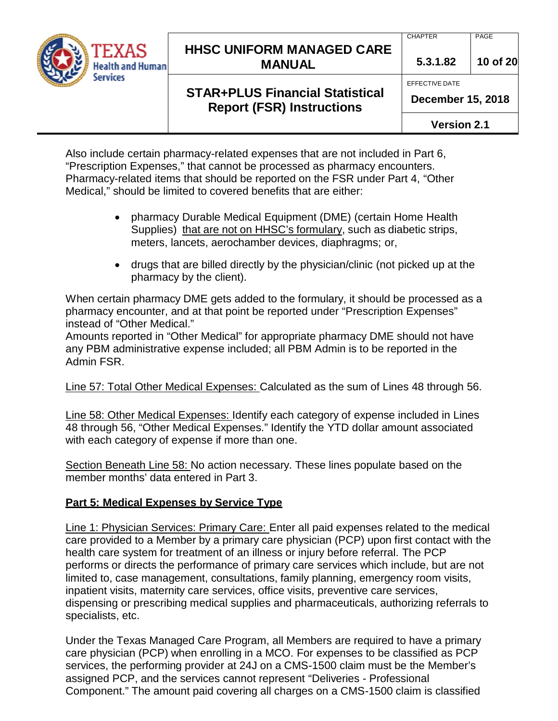

#### **CHAPTER**

EFFECTIVE DATE

PAGE

**5.3.1.82 10 of 20**

## **STAR+PLUS Financial Statistical Report (FSR) Instructions**

**Version 2.1**

Also include certain pharmacy-related expenses that are not included in Part 6, "Prescription Expenses," that cannot be processed as pharmacy encounters. Pharmacy-related items that should be reported on the FSR under Part 4, "Other Medical," should be limited to covered benefits that are either:

- pharmacy Durable Medical Equipment (DME) (certain Home Health Supplies) that are not on HHSC's formulary, such as diabetic strips, meters, lancets, aerochamber devices, diaphragms; or,
- drugs that are billed directly by the physician/clinic (not picked up at the pharmacy by the client).

When certain pharmacy DME gets added to the formulary, it should be processed as a pharmacy encounter, and at that point be reported under "Prescription Expenses" instead of "Other Medical."

Amounts reported in "Other Medical" for appropriate pharmacy DME should not have any PBM administrative expense included; all PBM Admin is to be reported in the Admin FSR.

Line 57: Total Other Medical Expenses: Calculated as the sum of Lines 48 through 56.

Line 58: Other Medical Expenses: Identify each category of expense included in Lines 48 through 56, "Other Medical Expenses." Identify the YTD dollar amount associated with each category of expense if more than one.

Section Beneath Line 58: No action necessary. These lines populate based on the member months' data entered in Part 3.

### **Part 5: Medical Expenses by Service Type**

Line 1: Physician Services: Primary Care: Enter all paid expenses related to the medical care provided to a Member by a primary care physician (PCP) upon first contact with the health care system for treatment of an illness or injury before referral. The PCP performs or directs the performance of primary care services which include, but are not limited to, case management, consultations, family planning, emergency room visits, inpatient visits, maternity care services, office visits, preventive care services, dispensing or prescribing medical supplies and pharmaceuticals, authorizing referrals to specialists, etc.

Under the Texas Managed Care Program, all Members are required to have a primary care physician (PCP) when enrolling in a MCO. For expenses to be classified as PCP services, the performing provider at 24J on a CMS-1500 claim must be the Member's assigned PCP, and the services cannot represent "Deliveries - Professional Component." The amount paid covering all charges on a CMS-1500 claim is classified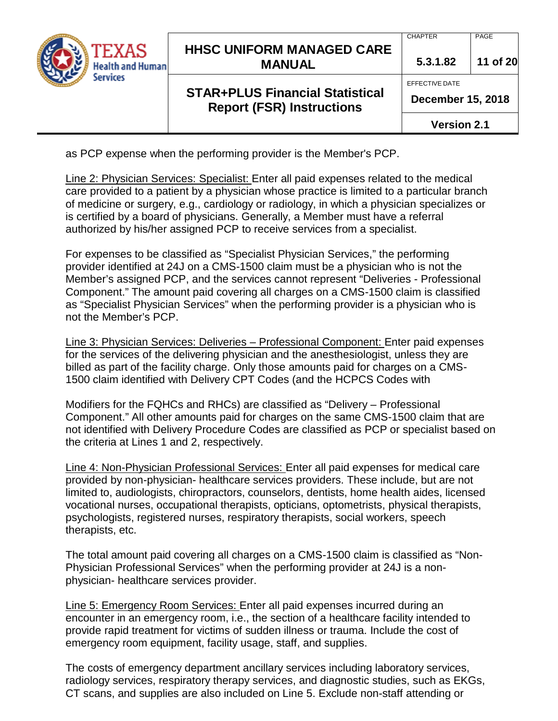

## **STAR+PLUS Financial Statistical Report (FSR) Instructions**

**5.3.1.82 11 of 20**

EFFECTIVE DATE

**CHAPTER** 

**December 15, 2018**

**Version 2.1**

as PCP expense when the performing provider is the Member's PCP.

Line 2: Physician Services: Specialist: Enter all paid expenses related to the medical care provided to a patient by a physician whose practice is limited to a particular branch of medicine or surgery, e.g., cardiology or radiology, in which a physician specializes or is certified by a board of physicians. Generally, a Member must have a referral authorized by his/her assigned PCP to receive services from a specialist.

For expenses to be classified as "Specialist Physician Services," the performing provider identified at 24J on a CMS-1500 claim must be a physician who is not the Member's assigned PCP, and the services cannot represent "Deliveries - Professional Component." The amount paid covering all charges on a CMS-1500 claim is classified as "Specialist Physician Services" when the performing provider is a physician who is not the Member's PCP.

Line 3: Physician Services: Deliveries – Professional Component: Enter paid expenses for the services of the delivering physician and the anesthesiologist, unless they are billed as part of the facility charge. Only those amounts paid for charges on a CMS-1500 claim identified with Delivery CPT Codes (and the HCPCS Codes with

Modifiers for the FQHCs and RHCs) are classified as "Delivery – Professional Component." All other amounts paid for charges on the same CMS-1500 claim that are not identified with Delivery Procedure Codes are classified as PCP or specialist based on the criteria at Lines 1 and 2, respectively.

Line 4: Non-Physician Professional Services: Enter all paid expenses for medical care provided by non-physician- healthcare services providers. These include, but are not limited to, audiologists, chiropractors, counselors, dentists, home health aides, licensed vocational nurses, occupational therapists, opticians, optometrists, physical therapists, psychologists, registered nurses, respiratory therapists, social workers, speech therapists, etc.

The total amount paid covering all charges on a CMS-1500 claim is classified as "Non-Physician Professional Services" when the performing provider at 24J is a nonphysician- healthcare services provider.

Line 5: Emergency Room Services: Enter all paid expenses incurred during an encounter in an emergency room, i.e., the section of a healthcare facility intended to provide rapid treatment for victims of sudden illness or trauma. Include the cost of emergency room equipment, facility usage, staff, and supplies.

The costs of emergency department ancillary services including laboratory services, radiology services, respiratory therapy services, and diagnostic studies, such as EKGs, CT scans, and supplies are also included on Line 5. Exclude non-staff attending or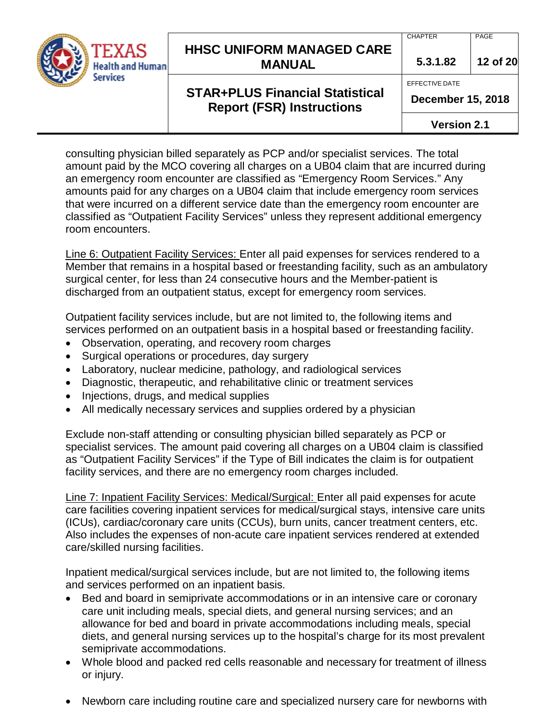

**STAR+PLUS Financial Statistical Report (FSR) Instructions**

#### **CHAPTER**

PAGE

**5.3.1.82 12 of 20**

#### EFFECTIVE DATE

**December 15, 2018**

**Version 2.1**

consulting physician billed separately as PCP and/or specialist services. The total amount paid by the MCO covering all charges on a UB04 claim that are incurred during an emergency room encounter are classified as "Emergency Room Services." Any amounts paid for any charges on a UB04 claim that include emergency room services that were incurred on a different service date than the emergency room encounter are classified as "Outpatient Facility Services" unless they represent additional emergency room encounters.

Line 6: Outpatient Facility Services: Enter all paid expenses for services rendered to a Member that remains in a hospital based or freestanding facility, such as an ambulatory surgical center, for less than 24 consecutive hours and the Member-patient is discharged from an outpatient status, except for emergency room services.

Outpatient facility services include, but are not limited to, the following items and services performed on an outpatient basis in a hospital based or freestanding facility.

- Observation, operating, and recovery room charges
- Surgical operations or procedures, day surgery
- Laboratory, nuclear medicine, pathology, and radiological services
- Diagnostic, therapeutic, and rehabilitative clinic or treatment services
- Injections, drugs, and medical supplies
- All medically necessary services and supplies ordered by a physician

Exclude non-staff attending or consulting physician billed separately as PCP or specialist services. The amount paid covering all charges on a UB04 claim is classified as "Outpatient Facility Services" if the Type of Bill indicates the claim is for outpatient facility services, and there are no emergency room charges included.

Line 7: Inpatient Facility Services: Medical/Surgical: Enter all paid expenses for acute care facilities covering inpatient services for medical/surgical stays, intensive care units (ICUs), cardiac/coronary care units (CCUs), burn units, cancer treatment centers, etc. Also includes the expenses of non-acute care inpatient services rendered at extended care/skilled nursing facilities.

Inpatient medical/surgical services include, but are not limited to, the following items and services performed on an inpatient basis.

- Bed and board in semiprivate accommodations or in an intensive care or coronary care unit including meals, special diets, and general nursing services; and an allowance for bed and board in private accommodations including meals, special diets, and general nursing services up to the hospital's charge for its most prevalent semiprivate accommodations.
- Whole blood and packed red cells reasonable and necessary for treatment of illness or injury.
- Newborn care including routine care and specialized nursery care for newborns with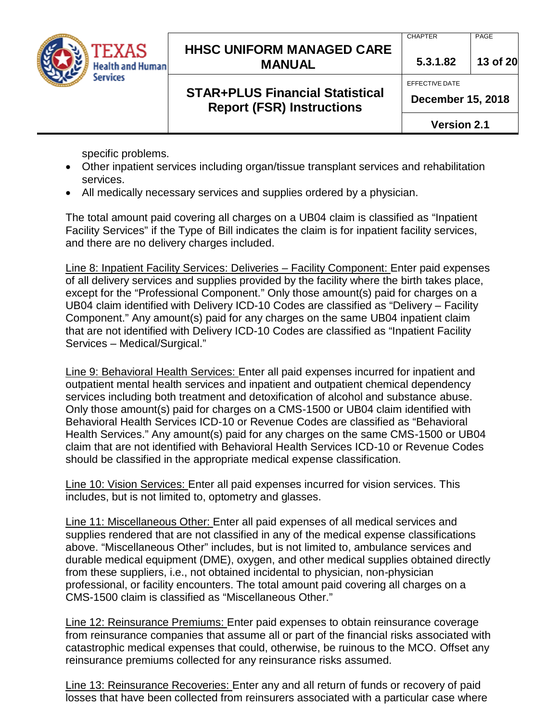

## **STAR+PLUS Financial Statistical Report (FSR) Instructions**

**5.3.1.82 13 of 20**

EFFECTIVE DATE

**CHAPTER** 

**December 15, 2018**

**Version 2.1**

specific problems.

- Other inpatient services including organ/tissue transplant services and rehabilitation services.
- All medically necessary services and supplies ordered by a physician.

The total amount paid covering all charges on a UB04 claim is classified as "Inpatient Facility Services" if the Type of Bill indicates the claim is for inpatient facility services, and there are no delivery charges included.

Line 8: Inpatient Facility Services: Deliveries – Facility Component: Enter paid expenses of all delivery services and supplies provided by the facility where the birth takes place, except for the "Professional Component." Only those amount(s) paid for charges on a UB04 claim identified with Delivery ICD-10 Codes are classified as "Delivery – Facility Component." Any amount(s) paid for any charges on the same UB04 inpatient claim that are not identified with Delivery ICD-10 Codes are classified as "Inpatient Facility Services – Medical/Surgical."

Line 9: Behavioral Health Services: Enter all paid expenses incurred for inpatient and outpatient mental health services and inpatient and outpatient chemical dependency services including both treatment and detoxification of alcohol and substance abuse. Only those amount(s) paid for charges on a CMS-1500 or UB04 claim identified with Behavioral Health Services ICD-10 or Revenue Codes are classified as "Behavioral Health Services." Any amount(s) paid for any charges on the same CMS-1500 or UB04 claim that are not identified with Behavioral Health Services ICD-10 or Revenue Codes should be classified in the appropriate medical expense classification.

Line 10: Vision Services: Enter all paid expenses incurred for vision services. This includes, but is not limited to, optometry and glasses.

Line 11: Miscellaneous Other: Enter all paid expenses of all medical services and supplies rendered that are not classified in any of the medical expense classifications above. "Miscellaneous Other" includes, but is not limited to, ambulance services and durable medical equipment (DME), oxygen, and other medical supplies obtained directly from these suppliers, i.e., not obtained incidental to physician, non-physician professional, or facility encounters. The total amount paid covering all charges on a CMS-1500 claim is classified as "Miscellaneous Other."

Line 12: Reinsurance Premiums: Enter paid expenses to obtain reinsurance coverage from reinsurance companies that assume all or part of the financial risks associated with catastrophic medical expenses that could, otherwise, be ruinous to the MCO. Offset any reinsurance premiums collected for any reinsurance risks assumed.

Line 13: Reinsurance Recoveries: Enter any and all return of funds or recovery of paid losses that have been collected from reinsurers associated with a particular case where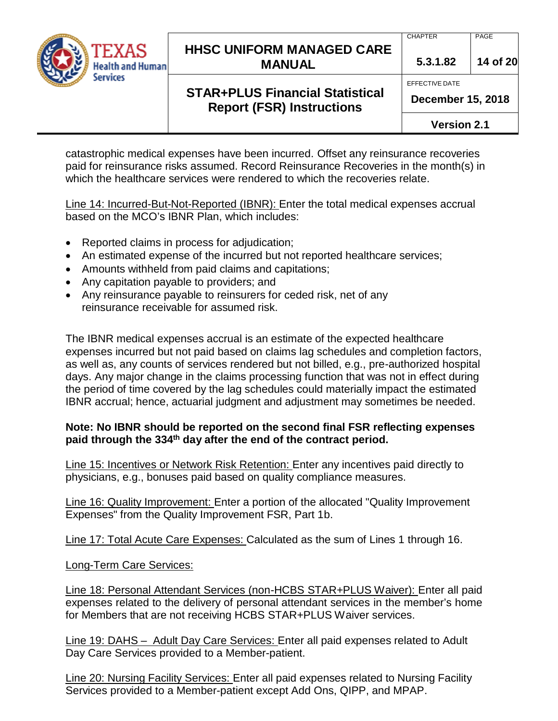

**STAR+PLUS Financial Statistical Report (FSR) Instructions**

#### **CHAPTER**

PAGE

**5.3.1.82 14 of 20**

#### EFFECTIVE DATE

**December 15, 2018**

**Version 2.1**

catastrophic medical expenses have been incurred. Offset any reinsurance recoveries paid for reinsurance risks assumed. Record Reinsurance Recoveries in the month(s) in which the healthcare services were rendered to which the recoveries relate.

Line 14: Incurred-But-Not-Reported (IBNR): Enter the total medical expenses accrual based on the MCO's IBNR Plan, which includes:

- Reported claims in process for adjudication;
- An estimated expense of the incurred but not reported healthcare services;
- Amounts withheld from paid claims and capitations;
- Any capitation payable to providers; and
- Any reinsurance payable to reinsurers for ceded risk, net of any reinsurance receivable for assumed risk.

The IBNR medical expenses accrual is an estimate of the expected healthcare expenses incurred but not paid based on claims lag schedules and completion factors, as well as, any counts of services rendered but not billed, e.g., pre-authorized hospital days. Any major change in the claims processing function that was not in effect during the period of time covered by the lag schedules could materially impact the estimated IBNR accrual; hence, actuarial judgment and adjustment may sometimes be needed.

#### **Note: No IBNR should be reported on the second final FSR reflecting expenses paid through the 334th day after the end of the contract period.**

Line 15: Incentives or Network Risk Retention: Enter any incentives paid directly to physicians, e.g., bonuses paid based on quality compliance measures.

Line 16: Quality Improvement: Enter a portion of the allocated "Quality Improvement Expenses" from the Quality Improvement FSR, Part 1b.

Line 17: Total Acute Care Expenses: Calculated as the sum of Lines 1 through 16.

#### Long-Term Care Services:

Line 18: Personal Attendant Services (non-HCBS STAR+PLUS Waiver): Enter all paid expenses related to the delivery of personal attendant services in the member's home for Members that are not receiving HCBS STAR+PLUS Waiver services.

Line 19: DAHS – Adult Day Care Services: Enter all paid expenses related to Adult Day Care Services provided to a Member-patient.

Line 20: Nursing Facility Services: Enter all paid expenses related to Nursing Facility Services provided to a Member-patient except Add Ons, QIPP, and MPAP.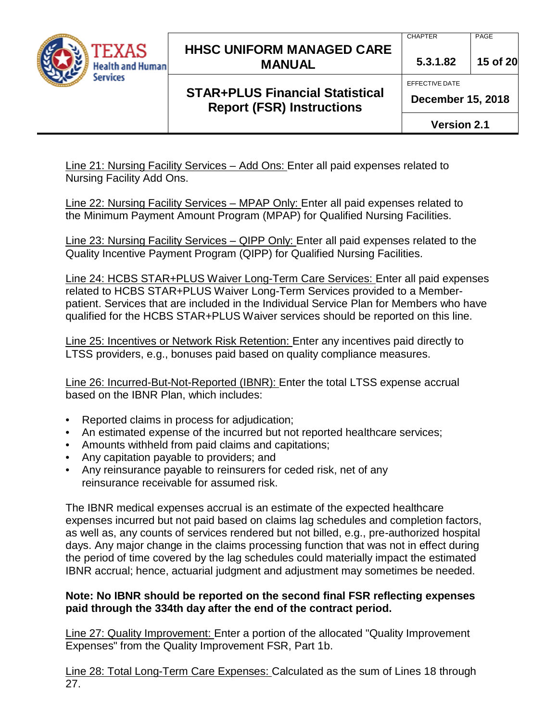

### **STAR+PLUS Financial Statistical Report (FSR) Instructions**

**5.3.1.82 15 of 20**

EFFECTIVE DATE

**CHAPTER** 

**December 15, 2018**

**Version 2.1**

Line 21: Nursing Facility Services – Add Ons: Enter all paid expenses related to Nursing Facility Add Ons.

Line 22: Nursing Facility Services – MPAP Only: Enter all paid expenses related to the Minimum Payment Amount Program (MPAP) for Qualified Nursing Facilities.

Line 23: Nursing Facility Services – QIPP Only: Enter all paid expenses related to the Quality Incentive Payment Program (QIPP) for Qualified Nursing Facilities.

Line 24: HCBS STAR+PLUS Waiver Long-Term Care Services: Enter all paid expenses related to HCBS STAR+PLUS Waiver Long-Term Services provided to a Memberpatient. Services that are included in the Individual Service Plan for Members who have qualified for the HCBS STAR+PLUS Waiver services should be reported on this line.

Line 25: Incentives or Network Risk Retention: Enter any incentives paid directly to LTSS providers, e.g., bonuses paid based on quality compliance measures.

Line 26: Incurred-But-Not-Reported (IBNR): Enter the total LTSS expense accrual based on the IBNR Plan, which includes:

- Reported claims in process for adjudication;
- An estimated expense of the incurred but not reported healthcare services;
- Amounts withheld from paid claims and capitations;
- Any capitation payable to providers; and
- Any reinsurance payable to reinsurers for ceded risk, net of any reinsurance receivable for assumed risk.

The IBNR medical expenses accrual is an estimate of the expected healthcare expenses incurred but not paid based on claims lag schedules and completion factors, as well as, any counts of services rendered but not billed, e.g., pre-authorized hospital days. Any major change in the claims processing function that was not in effect during the period of time covered by the lag schedules could materially impact the estimated IBNR accrual; hence, actuarial judgment and adjustment may sometimes be needed.

#### **Note: No IBNR should be reported on the second final FSR reflecting expenses paid through the 334th day after the end of the contract period.**

Line 27: Quality Improvement: Enter a portion of the allocated "Quality Improvement Expenses" from the Quality Improvement FSR, Part 1b.

Line 28: Total Long-Term Care Expenses: Calculated as the sum of Lines 18 through 27.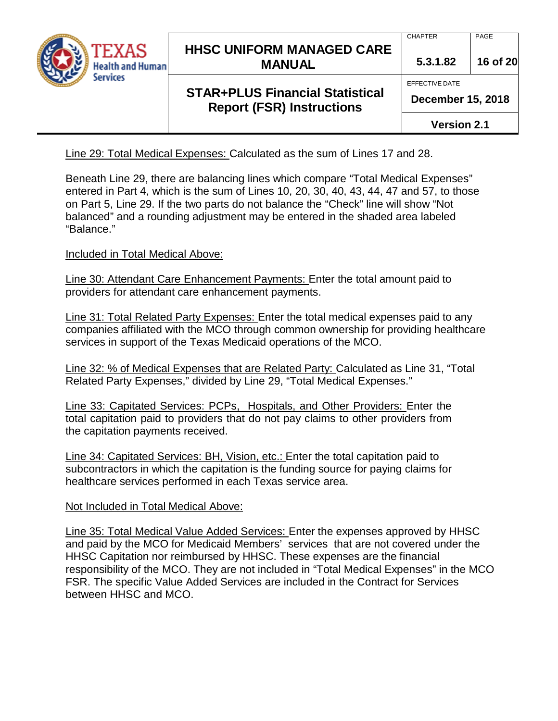

## **STAR+PLUS Financial Statistical Report (FSR) Instructions**

**5.3.1.82 16 of 20**

EFFECTIVE DATE

**CHAPTER** 

**December 15, 2018**

**Version 2.1**

Line 29: Total Medical Expenses: Calculated as the sum of Lines 17 and 28.

Beneath Line 29, there are balancing lines which compare "Total Medical Expenses" entered in Part 4, which is the sum of Lines 10, 20, 30, 40, 43, 44, 47 and 57, to those on Part 5, Line 29. If the two parts do not balance the "Check" line will show "Not balanced" and a rounding adjustment may be entered in the shaded area labeled "Balance."

Included in Total Medical Above:

Line 30: Attendant Care Enhancement Payments: Enter the total amount paid to providers for attendant care enhancement payments.

Line 31: Total Related Party Expenses: Enter the total medical expenses paid to any companies affiliated with the MCO through common ownership for providing healthcare services in support of the Texas Medicaid operations of the MCO.

Line 32: % of Medical Expenses that are Related Party: Calculated as Line 31, "Total Related Party Expenses," divided by Line 29, "Total Medical Expenses."

Line 33: Capitated Services: PCPs, Hospitals, and Other Providers: Enter the total capitation paid to providers that do not pay claims to other providers from the capitation payments received.

Line 34: Capitated Services: BH, Vision, etc.: Enter the total capitation paid to subcontractors in which the capitation is the funding source for paying claims for healthcare services performed in each Texas service area.

## Not Included in Total Medical Above:

Line 35: Total Medical Value Added Services: Enter the expenses approved by HHSC and paid by the MCO for Medicaid Members' services that are not covered under the HHSC Capitation nor reimbursed by HHSC. These expenses are the financial responsibility of the MCO. They are not included in "Total Medical Expenses" in the MCO FSR. The specific Value Added Services are included in the Contract for Services between HHSC and MCO.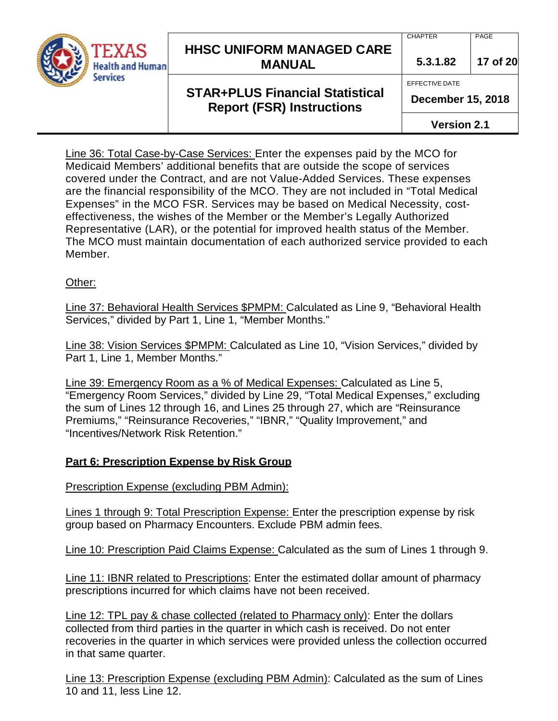

#### **CHAPTER**

EFFECTIVE DATE

PAGE

**5.3.1.82 17 of 20**

## **STAR+PLUS Financial Statistical Report (FSR) Instructions**

**December 15, 2018**

**Version 2.1**

Line 36: Total Case-by-Case Services: Enter the expenses paid by the MCO for Medicaid Members' additional benefits that are outside the scope of services covered under the Contract, and are not Value-Added Services. These expenses are the financial responsibility of the MCO. They are not included in "Total Medical Expenses" in the MCO FSR. Services may be based on Medical Necessity, costeffectiveness, the wishes of the Member or the Member's Legally Authorized Representative (LAR), or the potential for improved health status of the Member. The MCO must maintain documentation of each authorized service provided to each Member.

Other:

Line 37: Behavioral Health Services \$PMPM: Calculated as Line 9, "Behavioral Health Services," divided by Part 1, Line 1, "Member Months."

Line 38: Vision Services \$PMPM: Calculated as Line 10, "Vision Services," divided by Part 1, Line 1, Member Months."

Line 39: Emergency Room as a % of Medical Expenses: Calculated as Line 5, "Emergency Room Services," divided by Line 29, "Total Medical Expenses," excluding the sum of Lines 12 through 16, and Lines 25 through 27, which are "Reinsurance Premiums," "Reinsurance Recoveries," "IBNR," "Quality Improvement," and "Incentives/Network Risk Retention."

#### **Part 6: Prescription Expense by Risk Group**

Prescription Expense (excluding PBM Admin):

Lines 1 through 9: Total Prescription Expense: Enter the prescription expense by risk group based on Pharmacy Encounters. Exclude PBM admin fees.

Line 10: Prescription Paid Claims Expense: Calculated as the sum of Lines 1 through 9.

Line 11: IBNR related to Prescriptions: Enter the estimated dollar amount of pharmacy prescriptions incurred for which claims have not been received.

Line 12: TPL pay & chase collected (related to Pharmacy only): Enter the dollars collected from third parties in the quarter in which cash is received. Do not enter recoveries in the quarter in which services were provided unless the collection occurred in that same quarter.

Line 13: Prescription Expense (excluding PBM Admin): Calculated as the sum of Lines 10 and 11, less Line 12.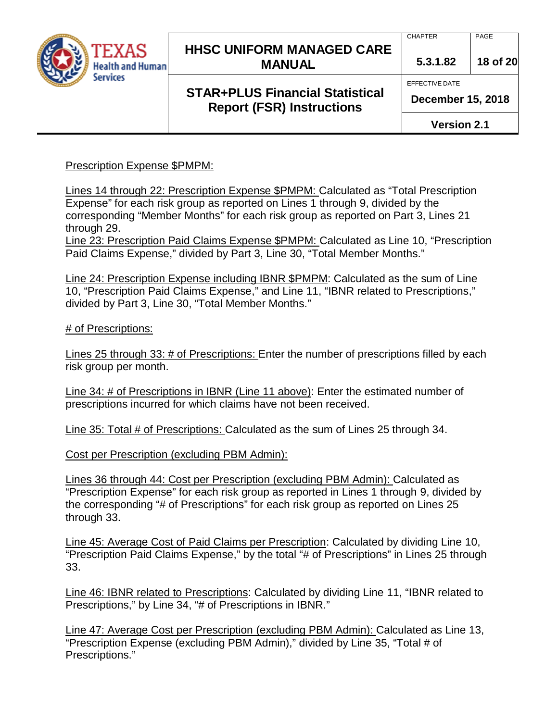

## **STAR+PLUS Financial Statistical Report (FSR) Instructions**

PAGE

**5.3.1.82 18 of 20**

EFFECTIVE DATE

**CHAPTER** 

**December 15, 2018**

**Version 2.1**

Prescription Expense \$PMPM:

Lines 14 through 22: Prescription Expense \$PMPM: Calculated as "Total Prescription Expense" for each risk group as reported on Lines 1 through 9, divided by the corresponding "Member Months" for each risk group as reported on Part 3, Lines 21 through 29.

Line 23: Prescription Paid Claims Expense \$PMPM: Calculated as Line 10, "Prescription Paid Claims Expense," divided by Part 3, Line 30, "Total Member Months."

Line 24: Prescription Expense including IBNR \$PMPM: Calculated as the sum of Line 10, "Prescription Paid Claims Expense," and Line 11, "IBNR related to Prescriptions," divided by Part 3, Line 30, "Total Member Months."

# of Prescriptions:

Lines 25 through 33: # of Prescriptions: Enter the number of prescriptions filled by each risk group per month.

Line 34: # of Prescriptions in IBNR (Line 11 above): Enter the estimated number of prescriptions incurred for which claims have not been received.

Line 35: Total # of Prescriptions: Calculated as the sum of Lines 25 through 34.

Cost per Prescription (excluding PBM Admin):

Lines 36 through 44: Cost per Prescription (excluding PBM Admin): Calculated as "Prescription Expense" for each risk group as reported in Lines 1 through 9, divided by the corresponding "# of Prescriptions" for each risk group as reported on Lines 25 through 33.

Line 45: Average Cost of Paid Claims per Prescription: Calculated by dividing Line 10, "Prescription Paid Claims Expense," by the total "# of Prescriptions" in Lines 25 through 33.

Line 46: IBNR related to Prescriptions: Calculated by dividing Line 11, "IBNR related to Prescriptions," by Line 34, "# of Prescriptions in IBNR."

Line 47: Average Cost per Prescription (excluding PBM Admin): Calculated as Line 13, "Prescription Expense (excluding PBM Admin)," divided by Line 35, "Total # of Prescriptions."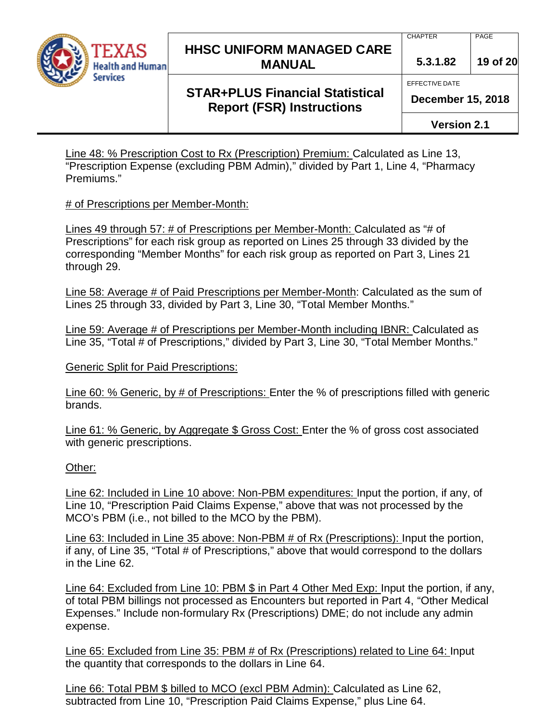

#### **CHAPTER**

PAGE

**5.3.1.82 19 of 20**

EFFECTIVE DATE

# **December 15, 2018**

**STAR+PLUS Financial Statistical Report (FSR) Instructions**

**Version 2.1**

Line 48: % Prescription Cost to Rx (Prescription) Premium: Calculated as Line 13, "Prescription Expense (excluding PBM Admin)," divided by Part 1, Line 4, "Pharmacy Premiums."

#### # of Prescriptions per Member-Month:

Lines 49 through 57: # of Prescriptions per Member-Month: Calculated as "# of Prescriptions" for each risk group as reported on Lines 25 through 33 divided by the corresponding "Member Months" for each risk group as reported on Part 3, Lines 21 through 29.

Line 58: Average # of Paid Prescriptions per Member-Month: Calculated as the sum of Lines 25 through 33, divided by Part 3, Line 30, "Total Member Months."

Line 59: Average # of Prescriptions per Member-Month including IBNR: Calculated as Line 35, "Total # of Prescriptions," divided by Part 3, Line 30, "Total Member Months."

Generic Split for Paid Prescriptions:

Line 60: % Generic, by # of Prescriptions: Enter the % of prescriptions filled with generic brands.

Line 61: % Generic, by Aggregate \$ Gross Cost: Enter the % of gross cost associated with generic prescriptions.

#### Other:

Line 62: Included in Line 10 above: Non-PBM expenditures: Input the portion, if any, of Line 10, "Prescription Paid Claims Expense," above that was not processed by the MCO's PBM (i.e., not billed to the MCO by the PBM).

Line 63: Included in Line 35 above: Non-PBM # of Rx (Prescriptions): Input the portion, if any, of Line 35, "Total # of Prescriptions," above that would correspond to the dollars in the Line 62.

Line 64: Excluded from Line 10: PBM \$ in Part 4 Other Med Exp: Input the portion, if any, of total PBM billings not processed as Encounters but reported in Part 4, "Other Medical Expenses." Include non-formulary Rx (Prescriptions) DME; do not include any admin expense.

Line 65: Excluded from Line 35: PBM # of Rx (Prescriptions) related to Line 64: Input the quantity that corresponds to the dollars in Line 64.

Line 66: Total PBM \$ billed to MCO (excl PBM Admin): Calculated as Line 62, subtracted from Line 10, "Prescription Paid Claims Expense," plus Line 64.